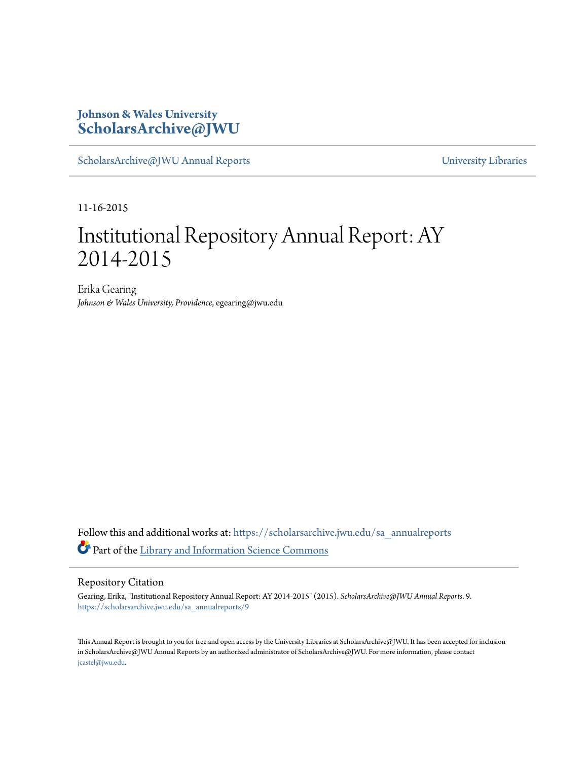### **Johnson & Wales University [ScholarsArchive@JWU](https://scholarsarchive.jwu.edu?utm_source=scholarsarchive.jwu.edu%2Fsa_annualreports%2F9&utm_medium=PDF&utm_campaign=PDFCoverPages)**

[ScholarsArchive@JWU Annual Reports](https://scholarsarchive.jwu.edu/sa_annualreports?utm_source=scholarsarchive.jwu.edu%2Fsa_annualreports%2F9&utm_medium=PDF&utm_campaign=PDFCoverPages) **Example 2018** [University Libraries](https://scholarsarchive.jwu.edu/University_Libraries?utm_source=scholarsarchive.jwu.edu%2Fsa_annualreports%2F9&utm_medium=PDF&utm_campaign=PDFCoverPages)

11-16-2015

## Institutional Repository Annual Report: AY 2014-2015

Erika Gearing *Johnson & Wales University, Providence*, egearing@jwu.edu

Follow this and additional works at: [https://scholarsarchive.jwu.edu/sa\\_annualreports](https://scholarsarchive.jwu.edu/sa_annualreports?utm_source=scholarsarchive.jwu.edu%2Fsa_annualreports%2F9&utm_medium=PDF&utm_campaign=PDFCoverPages) Part of the [Library and Information Science Commons](http://network.bepress.com/hgg/discipline/1018?utm_source=scholarsarchive.jwu.edu%2Fsa_annualreports%2F9&utm_medium=PDF&utm_campaign=PDFCoverPages)

#### Repository Citation

Gearing, Erika, "Institutional Repository Annual Report: AY 2014-2015" (2015). *ScholarsArchive@JWU Annual Reports*. 9. [https://scholarsarchive.jwu.edu/sa\\_annualreports/9](https://scholarsarchive.jwu.edu/sa_annualreports/9?utm_source=scholarsarchive.jwu.edu%2Fsa_annualreports%2F9&utm_medium=PDF&utm_campaign=PDFCoverPages)

This Annual Report is brought to you for free and open access by the University Libraries at ScholarsArchive@JWU. It has been accepted for inclusion in ScholarsArchive@JWU Annual Reports by an authorized administrator of ScholarsArchive@JWU. For more information, please contact [jcastel@jwu.edu.](mailto:jcastel@jwu.edu)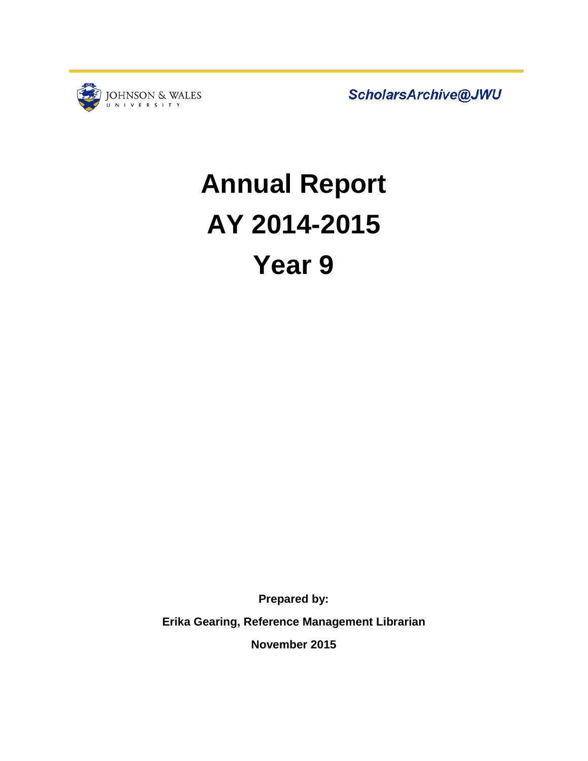

ScholarsArchive@JWU

# **Annual Report AY 2014-2015 Year 9**

**Prepared by:** 

**Erika Gearing, Reference Management Librarian**

**November 2015**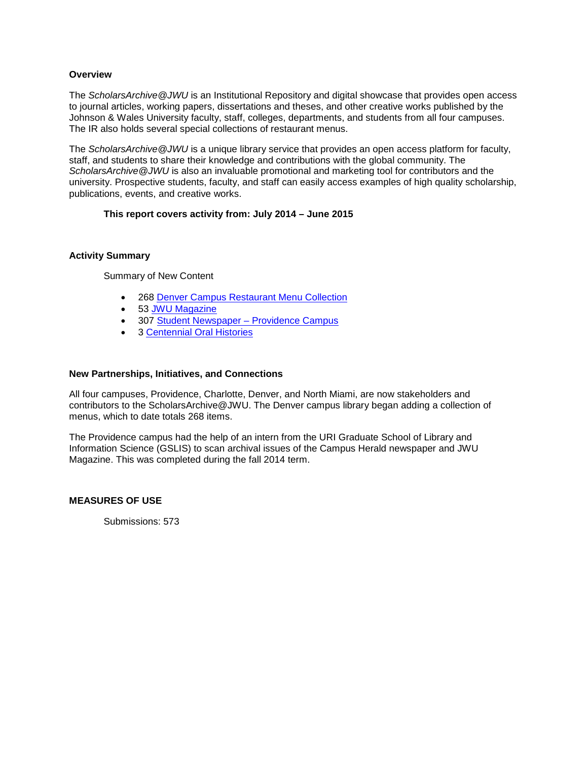#### **Overview**

The *ScholarsArchive@JWU* is an Institutional Repository and digital showcase that provides open access to journal articles, working papers, dissertations and theses, and other creative works published by the Johnson & Wales University faculty, staff, colleges, departments, and students from all four campuses. The IR also holds several special collections of restaurant menus.

The *ScholarsArchive@JWU* is a unique library service that provides an open access platform for faculty, staff, and students to share their knowledge and contributions with the global community. The *ScholarsArchive@JWU* is also an invaluable promotional and marketing tool for contributors and the university. Prospective students, faculty, and staff can easily access examples of high quality scholarship, publications, events, and creative works.

#### **This report covers activity from: July 2014 – June 2015**

#### **Activity Summary**

Summary of New Content

- 268 [Denver Campus Restaurant Menu Collection](http://scholarsarchive.jwu.edu/menucollection_denver/)
- 53 [JWU Magazine](http://scholarsarchive.jwu.edu/jwu_magazine)
- 307 Student Newspaper Providence Campus
- 3 [Centennial Oral Histories](http://scholarsarchive.jwu.edu/oral_histories)

#### **New Partnerships, Initiatives, and Connections**

All four campuses, Providence, Charlotte, Denver, and North Miami, are now stakeholders and contributors to the ScholarsArchive@JWU. The Denver campus library began adding a collection of menus, which to date totals 268 items.

The Providence campus had the help of an intern from the URI Graduate School of Library and Information Science (GSLIS) to scan archival issues of the Campus Herald newspaper and JWU Magazine. This was completed during the fall 2014 term.

#### **MEASURES OF USE**

Submissions: 573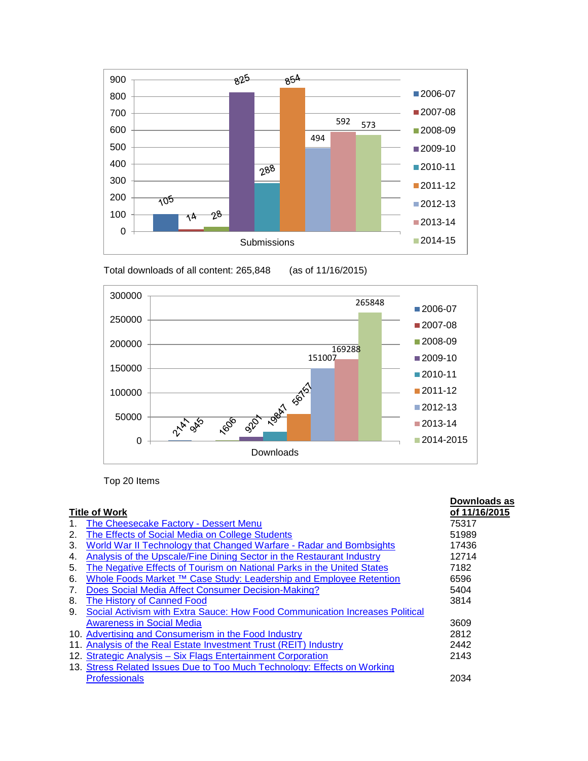

Total downloads of all content: 265,848 (as of 11/16/2015)



Top 20 Items

|                      |                                                                              | Downloads as  |
|----------------------|------------------------------------------------------------------------------|---------------|
| <b>Title of Work</b> |                                                                              | of 11/16/2015 |
| 1.                   | The Cheesecake Factory - Dessert Menu                                        | 75317         |
| 2.                   | The Effects of Social Media on College Students                              | 51989         |
| 3.                   | World War II Technology that Changed Warfare - Radar and Bombsights          | 17436         |
| 4.                   | Analysis of the Upscale/Fine Dining Sector in the Restaurant Industry        | 12714         |
| 5.                   | The Negative Effects of Tourism on National Parks in the United States       | 7182          |
| 6.                   | Whole Foods Market ™ Case Study: Leadership and Employee Retention           | 6596          |
| 7.                   | Does Social Media Affect Consumer Decision-Making?                           | 5404          |
| 8.                   | The History of Canned Food                                                   | 3814          |
| 9.                   | Social Activism with Extra Sauce: How Food Communication Increases Political |               |
|                      | <b>Awareness in Social Media</b>                                             | 3609          |
|                      | 10. Advertising and Consumerism in the Food Industry                         | 2812          |
| 11.                  | Analysis of the Real Estate Investment Trust (REIT) Industry                 | 2442          |
|                      | 12. Strategic Analysis - Six Flags Entertainment Corporation                 | 2143          |
|                      | 13. Stress Related Issues Due to Too Much Technology: Effects on Working     |               |
|                      | <b>Professionals</b>                                                         | 2034          |
|                      |                                                                              |               |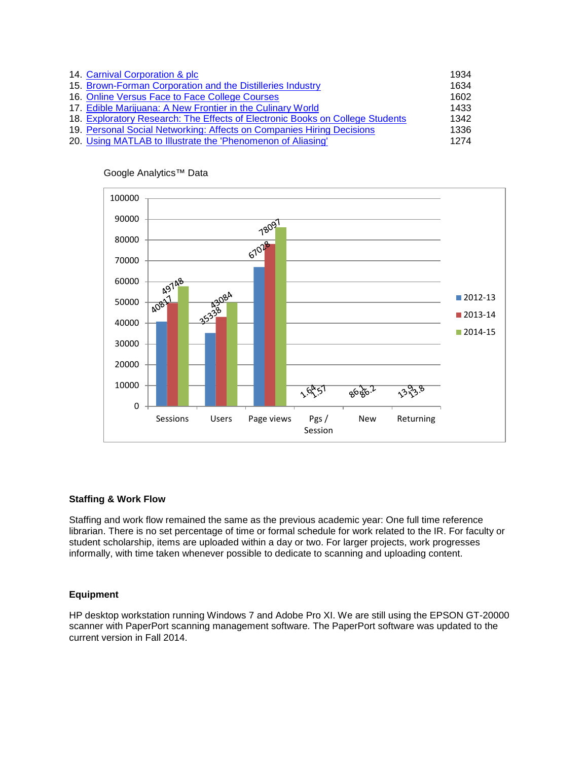| 14. Carnival Corporation & plc                                                | 1934 |
|-------------------------------------------------------------------------------|------|
| 15. Brown-Forman Corporation and the Distilleries Industry                    | 1634 |
| 16. Online Versus Face to Face College Courses                                | 1602 |
| 17. Edible Marijuana: A New Frontier in the Culinary World                    | 1433 |
| 18. Exploratory Research: The Effects of Electronic Books on College Students | 1342 |
| 19. Personal Social Networking: Affects on Companies Hiring Decisions         | 1336 |
| 20. Using MATLAB to Illustrate the 'Phenomenon of Aliasing'                   | 1274 |



Google Analytics™ Data

#### **Staffing & Work Flow**

Staffing and work flow remained the same as the previous academic year: One full time reference librarian. There is no set percentage of time or formal schedule for work related to the IR. For faculty or student scholarship, items are uploaded within a day or two. For larger projects, work progresses informally, with time taken whenever possible to dedicate to scanning and uploading content.

#### **Equipment**

HP desktop workstation running Windows 7 and Adobe Pro XI. We are still using the EPSON GT-20000 scanner with PaperPort scanning management software. The PaperPort software was updated to the current version in Fall 2014.